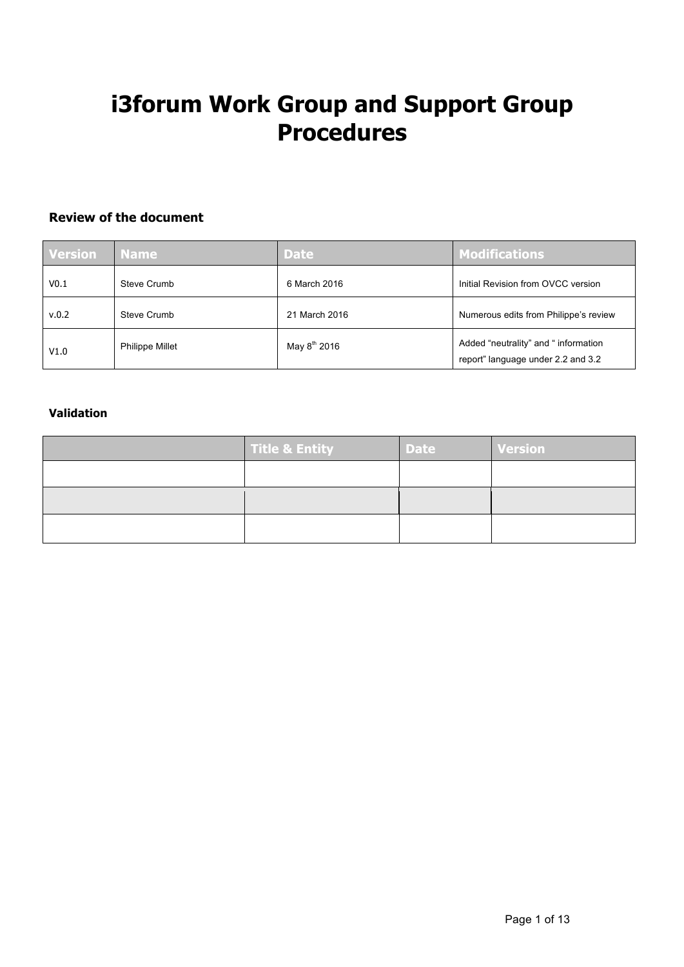# **i3forum Work Group and Support Group Procedures**

## **Review of the document**

| <b>Version</b> | <b>Name</b>            | <b>Date</b>              | <b>Modifications</b>                                                       |
|----------------|------------------------|--------------------------|----------------------------------------------------------------------------|
| V0.1           | Steve Crumb            | 6 March 2016             | Initial Revision from OVCC version                                         |
| v.0.2          | Steve Crumb            | 21 March 2016            | Numerous edits from Philippe's review                                      |
| V1.0           | <b>Philippe Millet</b> | May 8 <sup>th</sup> 2016 | Added "neutrality" and " information<br>report" language under 2.2 and 3.2 |

## **Validation**

| <b>Title &amp; Entity</b> | <b>Date</b> | <b>Version</b> |
|---------------------------|-------------|----------------|
|                           |             |                |
|                           |             |                |
|                           |             |                |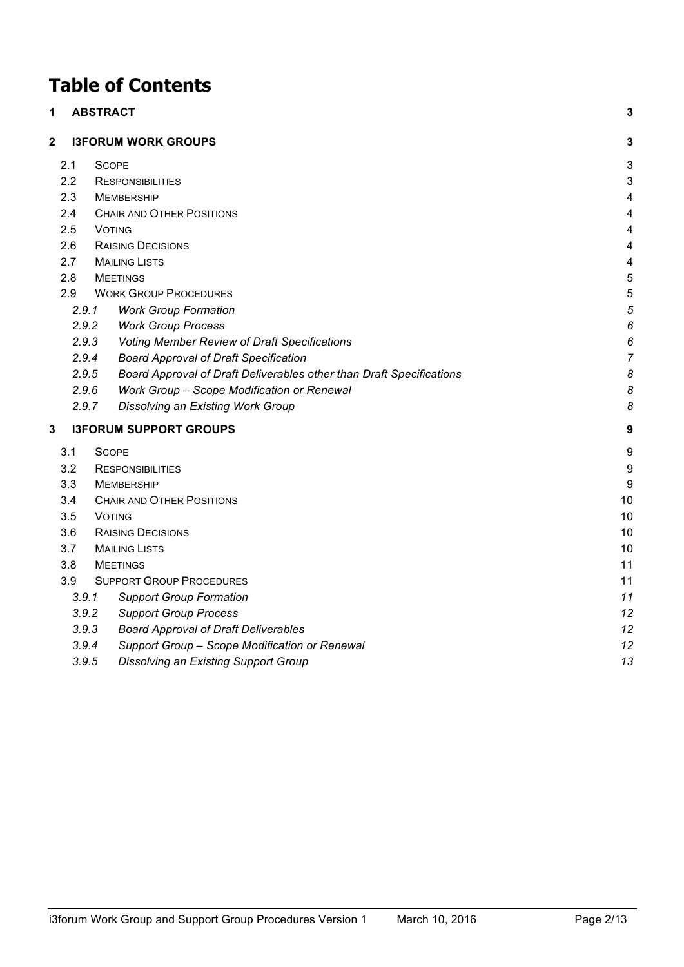## **Table of Contents**

| 1                                  |       | <b>ABSTRACT</b>                                                      | 3                       |
|------------------------------------|-------|----------------------------------------------------------------------|-------------------------|
| 2                                  |       | <b>I3FORUM WORK GROUPS</b>                                           | 3                       |
|                                    | 2.1   | <b>SCOPE</b>                                                         | 3                       |
|                                    | 2.2   | <b>RESPONSIBILITIES</b>                                              | 3                       |
|                                    | 2.3   | <b>MEMBERSHIP</b>                                                    | 4                       |
|                                    | 2.4   | <b>CHAIR AND OTHER POSITIONS</b>                                     | $\overline{\mathbf{4}}$ |
|                                    | 2.5   | <b>VOTING</b>                                                        | 4                       |
|                                    | 2.6   | <b>RAISING DECISIONS</b>                                             | $\overline{\mathbf{4}}$ |
|                                    | 2.7   | <b>MAILING LISTS</b>                                                 | 4                       |
|                                    | 2.8   | <b>MEETINGS</b>                                                      | 5                       |
|                                    | 2.9   | <b>WORK GROUP PROCEDURES</b>                                         | 5                       |
|                                    | 2.9.1 | <b>Work Group Formation</b>                                          | 5                       |
|                                    | 2.9.2 | <b>Work Group Process</b>                                            | 6                       |
|                                    | 2.9.3 | <b>Voting Member Review of Draft Specifications</b>                  | 6                       |
|                                    | 2.9.4 | <b>Board Approval of Draft Specification</b>                         | 7                       |
|                                    | 2.9.5 | Board Approval of Draft Deliverables other than Draft Specifications | 8                       |
|                                    | 2.9.6 | Work Group - Scope Modification or Renewal                           | 8                       |
|                                    | 2.9.7 | Dissolving an Existing Work Group                                    | 8                       |
| 3<br><b>I3FORUM SUPPORT GROUPS</b> |       |                                                                      |                         |
|                                    | 3.1   | <b>SCOPE</b>                                                         | 9                       |
|                                    | 3.2   | <b>RESPONSIBILITIES</b>                                              | 9                       |
|                                    | 3.3   | <b>MEMBERSHIP</b>                                                    | 9                       |
|                                    | 3.4   | <b>CHAIR AND OTHER POSITIONS</b>                                     | 10                      |
|                                    | 3.5   | <b>VOTING</b>                                                        | 10                      |
|                                    | 3.6   | <b>RAISING DECISIONS</b>                                             | 10                      |
|                                    | 3.7   | <b>MAILING LISTS</b>                                                 | 10                      |
|                                    | 3.8   | <b>MEETINGS</b>                                                      | 11                      |
|                                    | 3.9   | <b>SUPPORT GROUP PROCEDURES</b>                                      | 11                      |
|                                    | 3.9.1 | <b>Support Group Formation</b>                                       | 11                      |
|                                    | 3.9.2 | <b>Support Group Process</b>                                         | 12                      |
|                                    | 3.9.3 | <b>Board Approval of Draft Deliverables</b>                          | 12                      |
|                                    | 3.9.4 | Support Group - Scope Modification or Renewal                        | 12                      |
|                                    | 3.9.5 | Dissolving an Existing Support Group                                 | 13                      |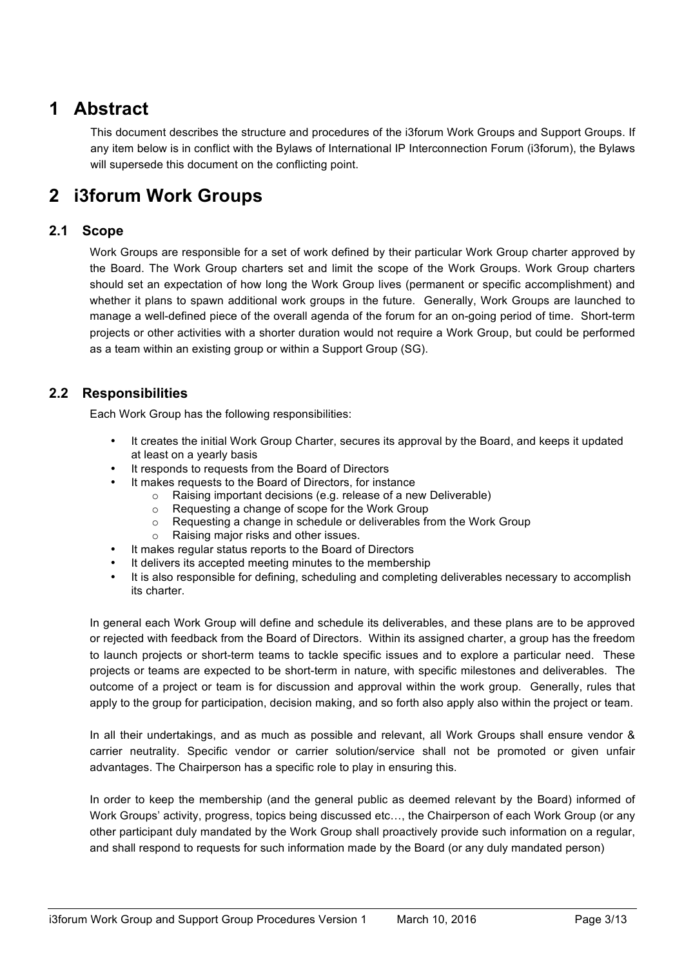## **1 Abstract**

This document describes the structure and procedures of the i3forum Work Groups and Support Groups. If any item below is in conflict with the Bylaws of International IP Interconnection Forum (i3forum), the Bylaws will supersede this document on the conflicting point.

## **2 i3forum Work Groups**

## **2.1 Scope**

Work Groups are responsible for a set of work defined by their particular Work Group charter approved by the Board. The Work Group charters set and limit the scope of the Work Groups. Work Group charters should set an expectation of how long the Work Group lives (permanent or specific accomplishment) and whether it plans to spawn additional work groups in the future. Generally, Work Groups are launched to manage a well-defined piece of the overall agenda of the forum for an on-going period of time. Short-term projects or other activities with a shorter duration would not require a Work Group, but could be performed as a team within an existing group or within a Support Group (SG).

## **2.2 Responsibilities**

Each Work Group has the following responsibilities:

- It creates the initial Work Group Charter, secures its approval by the Board, and keeps it updated at least on a yearly basis
- It responds to requests from the Board of Directors
- It makes requests to the Board of Directors, for instance
	- o Raising important decisions (e.g. release of a new Deliverable)
	- o Requesting a change of scope for the Work Group
	- o Requesting a change in schedule or deliverables from the Work Group
	- o Raising major risks and other issues.
- It makes regular status reports to the Board of Directors
- It delivers its accepted meeting minutes to the membership
- It is also responsible for defining, scheduling and completing deliverables necessary to accomplish its charter.

In general each Work Group will define and schedule its deliverables, and these plans are to be approved or rejected with feedback from the Board of Directors. Within its assigned charter, a group has the freedom to launch projects or short-term teams to tackle specific issues and to explore a particular need. These projects or teams are expected to be short-term in nature, with specific milestones and deliverables. The outcome of a project or team is for discussion and approval within the work group. Generally, rules that apply to the group for participation, decision making, and so forth also apply also within the project or team.

In all their undertakings, and as much as possible and relevant, all Work Groups shall ensure vendor & carrier neutrality. Specific vendor or carrier solution/service shall not be promoted or given unfair advantages. The Chairperson has a specific role to play in ensuring this.

In order to keep the membership (and the general public as deemed relevant by the Board) informed of Work Groups' activity, progress, topics being discussed etc…, the Chairperson of each Work Group (or any other participant duly mandated by the Work Group shall proactively provide such information on a regular, and shall respond to requests for such information made by the Board (or any duly mandated person)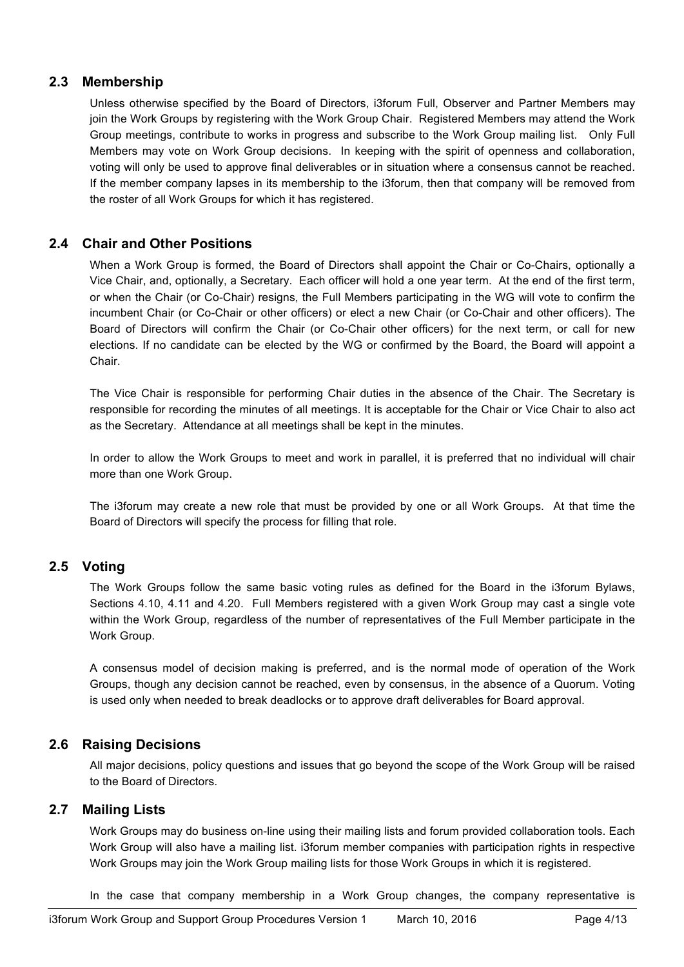## **2.3 Membership**

Unless otherwise specified by the Board of Directors, i3forum Full, Observer and Partner Members may join the Work Groups by registering with the Work Group Chair. Registered Members may attend the Work Group meetings, contribute to works in progress and subscribe to the Work Group mailing list. Only Full Members may vote on Work Group decisions. In keeping with the spirit of openness and collaboration, voting will only be used to approve final deliverables or in situation where a consensus cannot be reached. If the member company lapses in its membership to the i3forum, then that company will be removed from the roster of all Work Groups for which it has registered.

## **2.4 Chair and Other Positions**

When a Work Group is formed, the Board of Directors shall appoint the Chair or Co-Chairs, optionally a Vice Chair, and, optionally, a Secretary. Each officer will hold a one year term. At the end of the first term, or when the Chair (or Co-Chair) resigns, the Full Members participating in the WG will vote to confirm the incumbent Chair (or Co-Chair or other officers) or elect a new Chair (or Co-Chair and other officers). The Board of Directors will confirm the Chair (or Co-Chair other officers) for the next term, or call for new elections. If no candidate can be elected by the WG or confirmed by the Board, the Board will appoint a Chair.

The Vice Chair is responsible for performing Chair duties in the absence of the Chair. The Secretary is responsible for recording the minutes of all meetings. It is acceptable for the Chair or Vice Chair to also act as the Secretary. Attendance at all meetings shall be kept in the minutes.

In order to allow the Work Groups to meet and work in parallel, it is preferred that no individual will chair more than one Work Group.

The i3forum may create a new role that must be provided by one or all Work Groups. At that time the Board of Directors will specify the process for filling that role.

## **2.5 Voting**

The Work Groups follow the same basic voting rules as defined for the Board in the i3forum Bylaws, Sections 4.10, 4.11 and 4.20. Full Members registered with a given Work Group may cast a single vote within the Work Group, regardless of the number of representatives of the Full Member participate in the Work Group.

A consensus model of decision making is preferred, and is the normal mode of operation of the Work Groups, though any decision cannot be reached, even by consensus, in the absence of a Quorum. Voting is used only when needed to break deadlocks or to approve draft deliverables for Board approval.

## **2.6 Raising Decisions**

All major decisions, policy questions and issues that go beyond the scope of the Work Group will be raised to the Board of Directors.

## **2.7 Mailing Lists**

Work Groups may do business on-line using their mailing lists and forum provided collaboration tools. Each Work Group will also have a mailing list. i3forum member companies with participation rights in respective Work Groups may join the Work Group mailing lists for those Work Groups in which it is registered.

In the case that company membership in a Work Group changes, the company representative is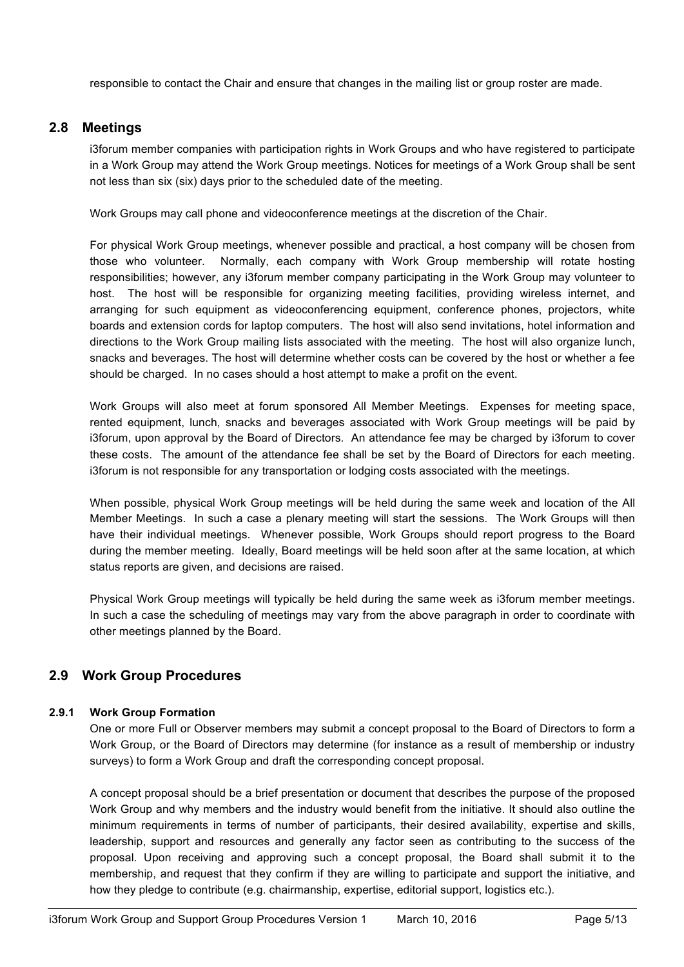responsible to contact the Chair and ensure that changes in the mailing list or group roster are made.

## **2.8 Meetings**

i3forum member companies with participation rights in Work Groups and who have registered to participate in a Work Group may attend the Work Group meetings. Notices for meetings of a Work Group shall be sent not less than six (six) days prior to the scheduled date of the meeting.

Work Groups may call phone and videoconference meetings at the discretion of the Chair.

For physical Work Group meetings, whenever possible and practical, a host company will be chosen from those who volunteer. Normally, each company with Work Group membership will rotate hosting responsibilities; however, any i3forum member company participating in the Work Group may volunteer to host. The host will be responsible for organizing meeting facilities, providing wireless internet, and arranging for such equipment as videoconferencing equipment, conference phones, projectors, white boards and extension cords for laptop computers. The host will also send invitations, hotel information and directions to the Work Group mailing lists associated with the meeting. The host will also organize lunch, snacks and beverages. The host will determine whether costs can be covered by the host or whether a fee should be charged. In no cases should a host attempt to make a profit on the event.

Work Groups will also meet at forum sponsored All Member Meetings. Expenses for meeting space, rented equipment, lunch, snacks and beverages associated with Work Group meetings will be paid by i3forum, upon approval by the Board of Directors. An attendance fee may be charged by i3forum to cover these costs. The amount of the attendance fee shall be set by the Board of Directors for each meeting. i3forum is not responsible for any transportation or lodging costs associated with the meetings.

When possible, physical Work Group meetings will be held during the same week and location of the All Member Meetings. In such a case a plenary meeting will start the sessions. The Work Groups will then have their individual meetings. Whenever possible, Work Groups should report progress to the Board during the member meeting. Ideally, Board meetings will be held soon after at the same location, at which status reports are given, and decisions are raised.

Physical Work Group meetings will typically be held during the same week as i3forum member meetings. In such a case the scheduling of meetings may vary from the above paragraph in order to coordinate with other meetings planned by the Board.

## **2.9 Work Group Procedures**

#### **2.9.1 Work Group Formation**

One or more Full or Observer members may submit a concept proposal to the Board of Directors to form a Work Group, or the Board of Directors may determine (for instance as a result of membership or industry surveys) to form a Work Group and draft the corresponding concept proposal.

A concept proposal should be a brief presentation or document that describes the purpose of the proposed Work Group and why members and the industry would benefit from the initiative. It should also outline the minimum requirements in terms of number of participants, their desired availability, expertise and skills, leadership, support and resources and generally any factor seen as contributing to the success of the proposal. Upon receiving and approving such a concept proposal, the Board shall submit it to the membership, and request that they confirm if they are willing to participate and support the initiative, and how they pledge to contribute (e.g. chairmanship, expertise, editorial support, logistics etc.).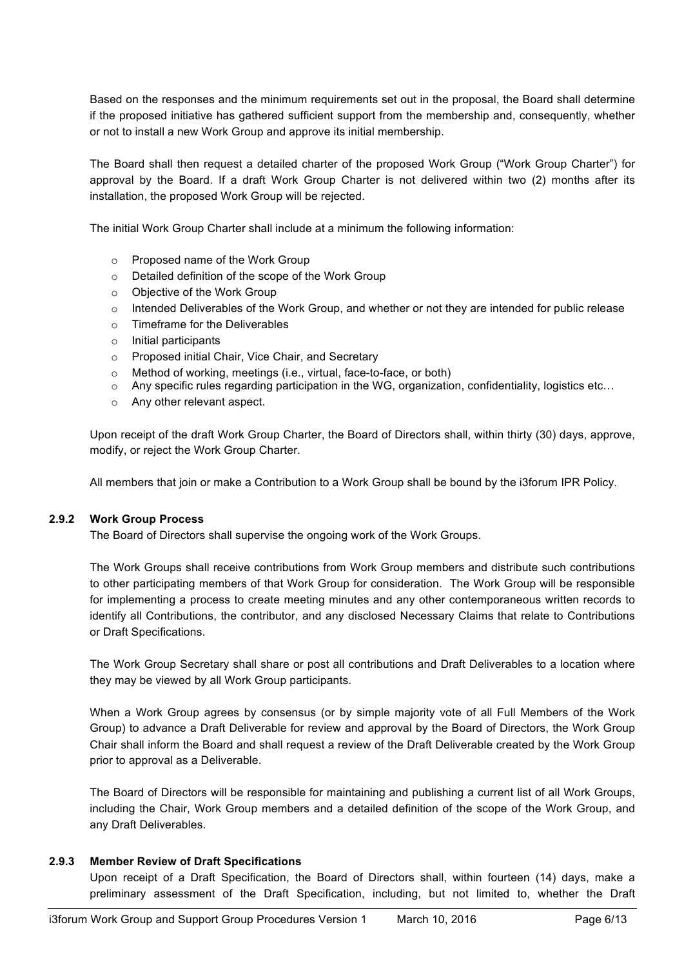Based on the responses and the minimum requirements set out in the proposal, the Board shall determine if the proposed initiative has gathered sufficient support from the membership and, consequently, whether or not to install a new Work Group and approve its initial membership.

The Board shall then request a detailed charter of the proposed Work Group ("Work Group Charter") for approval by the Board. If a draft Work Group Charter is not delivered within two (2) months after its installation, the proposed Work Group will be rejected.

The initial Work Group Charter shall include at a minimum the following information:

- o Proposed name of the Work Group
- o Detailed definition of the scope of the Work Group
- o Objective of the Work Group
- $\circ$  Intended Deliverables of the Work Group, and whether or not they are intended for public release
- o Timeframe for the Deliverables
- o Initial participants
- o Proposed initial Chair, Vice Chair, and Secretary
- o Method of working, meetings (i.e., virtual, face-to-face, or both)
- o Any specific rules regarding participation in the WG, organization, confidentiality, logistics etc…
- o Any other relevant aspect.

Upon receipt of the draft Work Group Charter, the Board of Directors shall, within thirty (30) days, approve, modify, or reject the Work Group Charter.

All members that join or make a Contribution to a Work Group shall be bound by the i3forum IPR Policy.

#### **2.9.2 Work Group Process**

The Board of Directors shall supervise the ongoing work of the Work Groups.

The Work Groups shall receive contributions from Work Group members and distribute such contributions to other participating members of that Work Group for consideration. The Work Group will be responsible for implementing a process to create meeting minutes and any other contemporaneous written records to identify all Contributions, the contributor, and any disclosed Necessary Claims that relate to Contributions or Draft Specifications.

The Work Group Secretary shall share or post all contributions and Draft Deliverables to a location where they may be viewed by all Work Group participants.

When a Work Group agrees by consensus (or by simple majority vote of all Full Members of the Work Group) to advance a Draft Deliverable for review and approval by the Board of Directors, the Work Group Chair shall inform the Board and shall request a review of the Draft Deliverable created by the Work Group prior to approval as a Deliverable.

The Board of Directors will be responsible for maintaining and publishing a current list of all Work Groups, including the Chair, Work Group members and a detailed definition of the scope of the Work Group, and any Draft Deliverables.

#### **2.9.3 Member Review of Draft Specifications**

Upon receipt of a Draft Specification, the Board of Directors shall, within fourteen (14) days, make a preliminary assessment of the Draft Specification, including, but not limited to, whether the Draft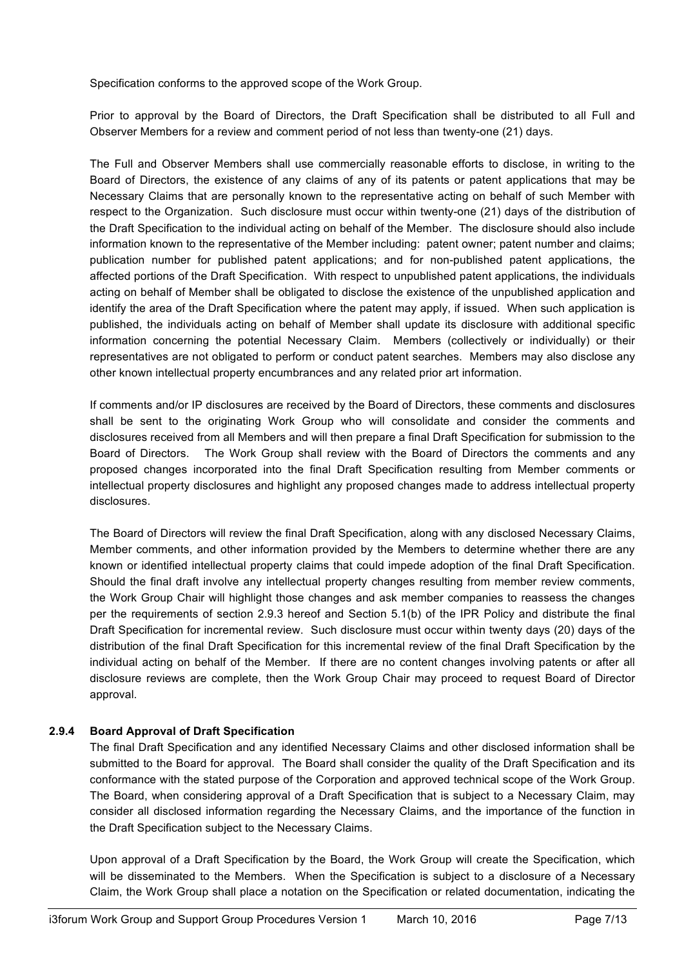Specification conforms to the approved scope of the Work Group.

Prior to approval by the Board of Directors, the Draft Specification shall be distributed to all Full and Observer Members for a review and comment period of not less than twenty-one (21) days.

The Full and Observer Members shall use commercially reasonable efforts to disclose, in writing to the Board of Directors, the existence of any claims of any of its patents or patent applications that may be Necessary Claims that are personally known to the representative acting on behalf of such Member with respect to the Organization. Such disclosure must occur within twenty-one (21) days of the distribution of the Draft Specification to the individual acting on behalf of the Member. The disclosure should also include information known to the representative of the Member including: patent owner; patent number and claims; publication number for published patent applications; and for non-published patent applications, the affected portions of the Draft Specification. With respect to unpublished patent applications, the individuals acting on behalf of Member shall be obligated to disclose the existence of the unpublished application and identify the area of the Draft Specification where the patent may apply, if issued. When such application is published, the individuals acting on behalf of Member shall update its disclosure with additional specific information concerning the potential Necessary Claim. Members (collectively or individually) or their representatives are not obligated to perform or conduct patent searches. Members may also disclose any other known intellectual property encumbrances and any related prior art information.

If comments and/or IP disclosures are received by the Board of Directors, these comments and disclosures shall be sent to the originating Work Group who will consolidate and consider the comments and disclosures received from all Members and will then prepare a final Draft Specification for submission to the Board of Directors. The Work Group shall review with the Board of Directors the comments and any proposed changes incorporated into the final Draft Specification resulting from Member comments or intellectual property disclosures and highlight any proposed changes made to address intellectual property disclosures.

The Board of Directors will review the final Draft Specification, along with any disclosed Necessary Claims, Member comments, and other information provided by the Members to determine whether there are any known or identified intellectual property claims that could impede adoption of the final Draft Specification. Should the final draft involve any intellectual property changes resulting from member review comments, the Work Group Chair will highlight those changes and ask member companies to reassess the changes per the requirements of section 2.9.3 hereof and Section 5.1(b) of the IPR Policy and distribute the final Draft Specification for incremental review. Such disclosure must occur within twenty days (20) days of the distribution of the final Draft Specification for this incremental review of the final Draft Specification by the individual acting on behalf of the Member. If there are no content changes involving patents or after all disclosure reviews are complete, then the Work Group Chair may proceed to request Board of Director approval.

#### **2.9.4 Board Approval of Draft Specification**

The final Draft Specification and any identified Necessary Claims and other disclosed information shall be submitted to the Board for approval. The Board shall consider the quality of the Draft Specification and its conformance with the stated purpose of the Corporation and approved technical scope of the Work Group. The Board, when considering approval of a Draft Specification that is subject to a Necessary Claim, may consider all disclosed information regarding the Necessary Claims, and the importance of the function in the Draft Specification subject to the Necessary Claims.

Upon approval of a Draft Specification by the Board, the Work Group will create the Specification, which will be disseminated to the Members. When the Specification is subject to a disclosure of a Necessary Claim, the Work Group shall place a notation on the Specification or related documentation, indicating the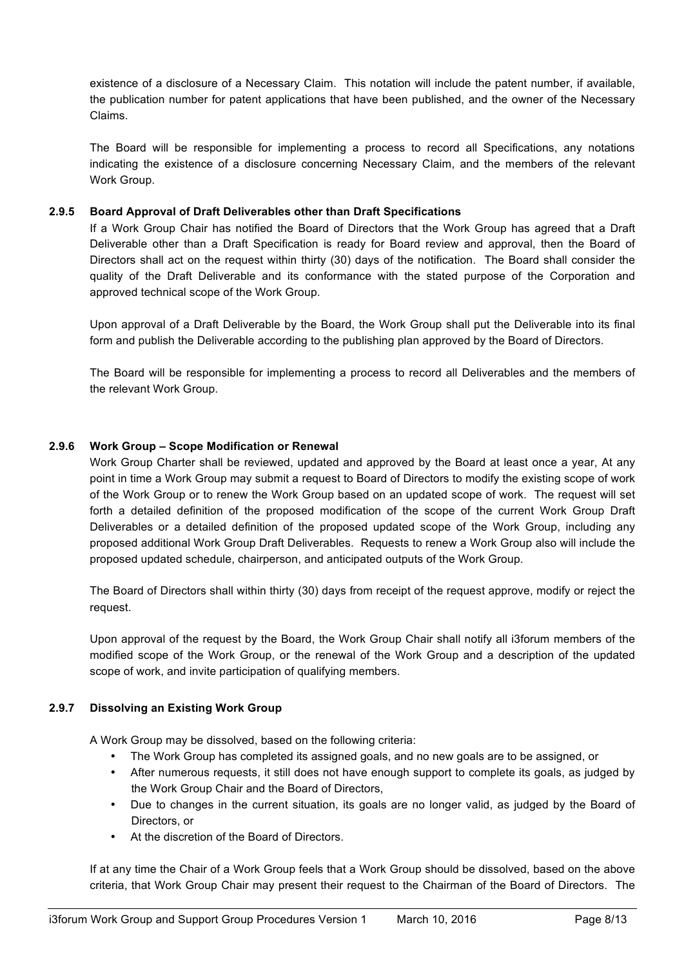existence of a disclosure of a Necessary Claim. This notation will include the patent number, if available, the publication number for patent applications that have been published, and the owner of the Necessary Claims.

The Board will be responsible for implementing a process to record all Specifications, any notations indicating the existence of a disclosure concerning Necessary Claim, and the members of the relevant Work Group.

#### **2.9.5 Board Approval of Draft Deliverables other than Draft Specifications**

If a Work Group Chair has notified the Board of Directors that the Work Group has agreed that a Draft Deliverable other than a Draft Specification is ready for Board review and approval, then the Board of Directors shall act on the request within thirty (30) days of the notification. The Board shall consider the quality of the Draft Deliverable and its conformance with the stated purpose of the Corporation and approved technical scope of the Work Group.

Upon approval of a Draft Deliverable by the Board, the Work Group shall put the Deliverable into its final form and publish the Deliverable according to the publishing plan approved by the Board of Directors.

The Board will be responsible for implementing a process to record all Deliverables and the members of the relevant Work Group.

#### **2.9.6 Work Group – Scope Modification or Renewal**

Work Group Charter shall be reviewed, updated and approved by the Board at least once a year, At any point in time a Work Group may submit a request to Board of Directors to modify the existing scope of work of the Work Group or to renew the Work Group based on an updated scope of work. The request will set forth a detailed definition of the proposed modification of the scope of the current Work Group Draft Deliverables or a detailed definition of the proposed updated scope of the Work Group, including any proposed additional Work Group Draft Deliverables. Requests to renew a Work Group also will include the proposed updated schedule, chairperson, and anticipated outputs of the Work Group.

The Board of Directors shall within thirty (30) days from receipt of the request approve, modify or reject the request.

Upon approval of the request by the Board, the Work Group Chair shall notify all i3forum members of the modified scope of the Work Group, or the renewal of the Work Group and a description of the updated scope of work, and invite participation of qualifying members.

#### **2.9.7 Dissolving an Existing Work Group**

A Work Group may be dissolved, based on the following criteria:

- The Work Group has completed its assigned goals, and no new goals are to be assigned, or
- After numerous requests, it still does not have enough support to complete its goals, as judged by the Work Group Chair and the Board of Directors,
- Due to changes in the current situation, its goals are no longer valid, as judged by the Board of Directors, or
- At the discretion of the Board of Directors.

If at any time the Chair of a Work Group feels that a Work Group should be dissolved, based on the above criteria, that Work Group Chair may present their request to the Chairman of the Board of Directors. The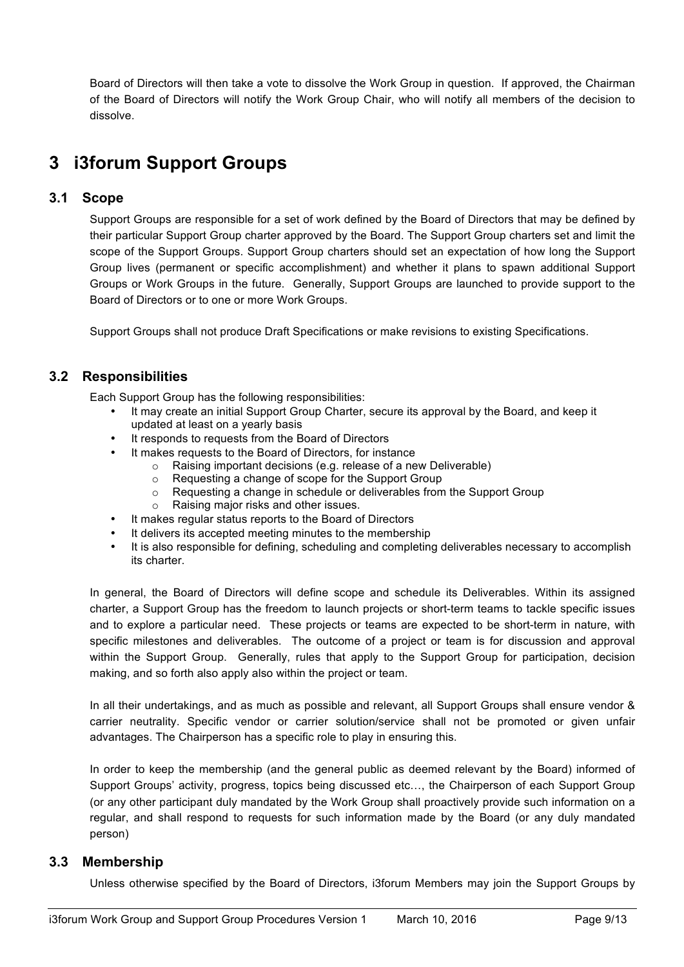Board of Directors will then take a vote to dissolve the Work Group in question. If approved, the Chairman of the Board of Directors will notify the Work Group Chair, who will notify all members of the decision to dissolve.

## **3 i3forum Support Groups**

## **3.1 Scope**

Support Groups are responsible for a set of work defined by the Board of Directors that may be defined by their particular Support Group charter approved by the Board. The Support Group charters set and limit the scope of the Support Groups. Support Group charters should set an expectation of how long the Support Group lives (permanent or specific accomplishment) and whether it plans to spawn additional Support Groups or Work Groups in the future. Generally, Support Groups are launched to provide support to the Board of Directors or to one or more Work Groups.

Support Groups shall not produce Draft Specifications or make revisions to existing Specifications.

## **3.2 Responsibilities**

Each Support Group has the following responsibilities:

- It may create an initial Support Group Charter, secure its approval by the Board, and keep it updated at least on a yearly basis
- It responds to requests from the Board of Directors
- It makes requests to the Board of Directors, for instance
	- o Raising important decisions (e.g. release of a new Deliverable)
	- o Requesting a change of scope for the Support Group
	- o Requesting a change in schedule or deliverables from the Support Group
	- o Raising major risks and other issues.
- It makes regular status reports to the Board of Directors
- It delivers its accepted meeting minutes to the membership
- It is also responsible for defining, scheduling and completing deliverables necessary to accomplish its charter.

In general, the Board of Directors will define scope and schedule its Deliverables. Within its assigned charter, a Support Group has the freedom to launch projects or short-term teams to tackle specific issues and to explore a particular need. These projects or teams are expected to be short-term in nature, with specific milestones and deliverables. The outcome of a project or team is for discussion and approval within the Support Group. Generally, rules that apply to the Support Group for participation, decision making, and so forth also apply also within the project or team.

In all their undertakings, and as much as possible and relevant, all Support Groups shall ensure vendor & carrier neutrality. Specific vendor or carrier solution/service shall not be promoted or given unfair advantages. The Chairperson has a specific role to play in ensuring this.

In order to keep the membership (and the general public as deemed relevant by the Board) informed of Support Groups' activity, progress, topics being discussed etc…, the Chairperson of each Support Group (or any other participant duly mandated by the Work Group shall proactively provide such information on a regular, and shall respond to requests for such information made by the Board (or any duly mandated person)

#### **3.3 Membership**

Unless otherwise specified by the Board of Directors, i3forum Members may join the Support Groups by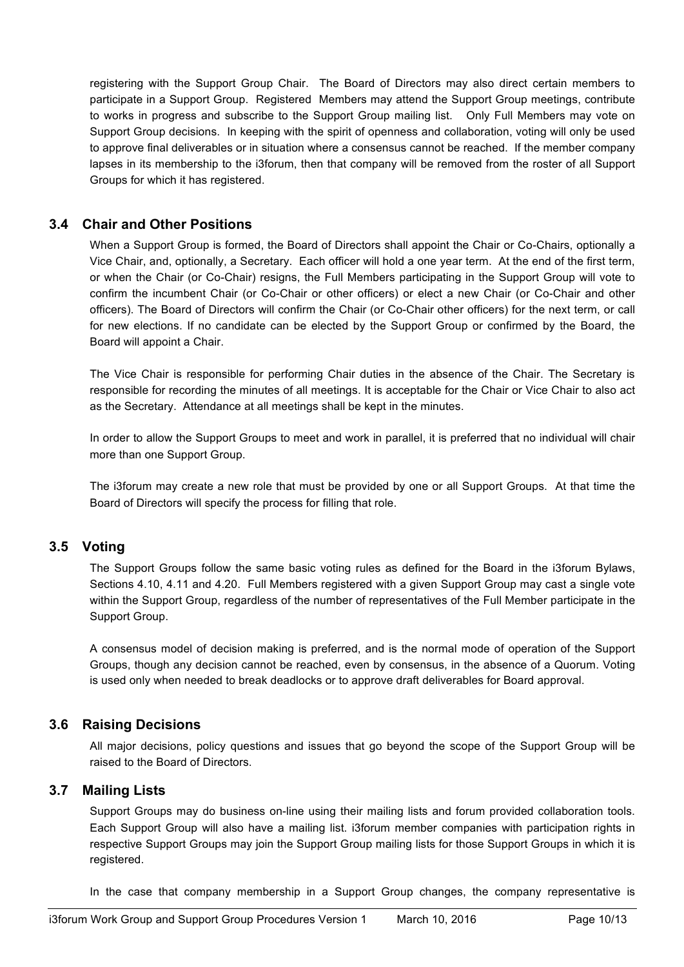registering with the Support Group Chair. The Board of Directors may also direct certain members to participate in a Support Group. Registered Members may attend the Support Group meetings, contribute to works in progress and subscribe to the Support Group mailing list. Only Full Members may vote on Support Group decisions. In keeping with the spirit of openness and collaboration, voting will only be used to approve final deliverables or in situation where a consensus cannot be reached. If the member company lapses in its membership to the i3forum, then that company will be removed from the roster of all Support Groups for which it has registered.

## **3.4 Chair and Other Positions**

When a Support Group is formed, the Board of Directors shall appoint the Chair or Co-Chairs, optionally a Vice Chair, and, optionally, a Secretary. Each officer will hold a one year term. At the end of the first term, or when the Chair (or Co-Chair) resigns, the Full Members participating in the Support Group will vote to confirm the incumbent Chair (or Co-Chair or other officers) or elect a new Chair (or Co-Chair and other officers). The Board of Directors will confirm the Chair (or Co-Chair other officers) for the next term, or call for new elections. If no candidate can be elected by the Support Group or confirmed by the Board, the Board will appoint a Chair.

The Vice Chair is responsible for performing Chair duties in the absence of the Chair. The Secretary is responsible for recording the minutes of all meetings. It is acceptable for the Chair or Vice Chair to also act as the Secretary. Attendance at all meetings shall be kept in the minutes.

In order to allow the Support Groups to meet and work in parallel, it is preferred that no individual will chair more than one Support Group.

The i3forum may create a new role that must be provided by one or all Support Groups. At that time the Board of Directors will specify the process for filling that role.

## **3.5 Voting**

The Support Groups follow the same basic voting rules as defined for the Board in the i3forum Bylaws, Sections 4.10, 4.11 and 4.20. Full Members registered with a given Support Group may cast a single vote within the Support Group, regardless of the number of representatives of the Full Member participate in the Support Group.

A consensus model of decision making is preferred, and is the normal mode of operation of the Support Groups, though any decision cannot be reached, even by consensus, in the absence of a Quorum. Voting is used only when needed to break deadlocks or to approve draft deliverables for Board approval.

#### **3.6 Raising Decisions**

All major decisions, policy questions and issues that go beyond the scope of the Support Group will be raised to the Board of Directors.

#### **3.7 Mailing Lists**

Support Groups may do business on-line using their mailing lists and forum provided collaboration tools. Each Support Group will also have a mailing list. i3forum member companies with participation rights in respective Support Groups may join the Support Group mailing lists for those Support Groups in which it is registered.

In the case that company membership in a Support Group changes, the company representative is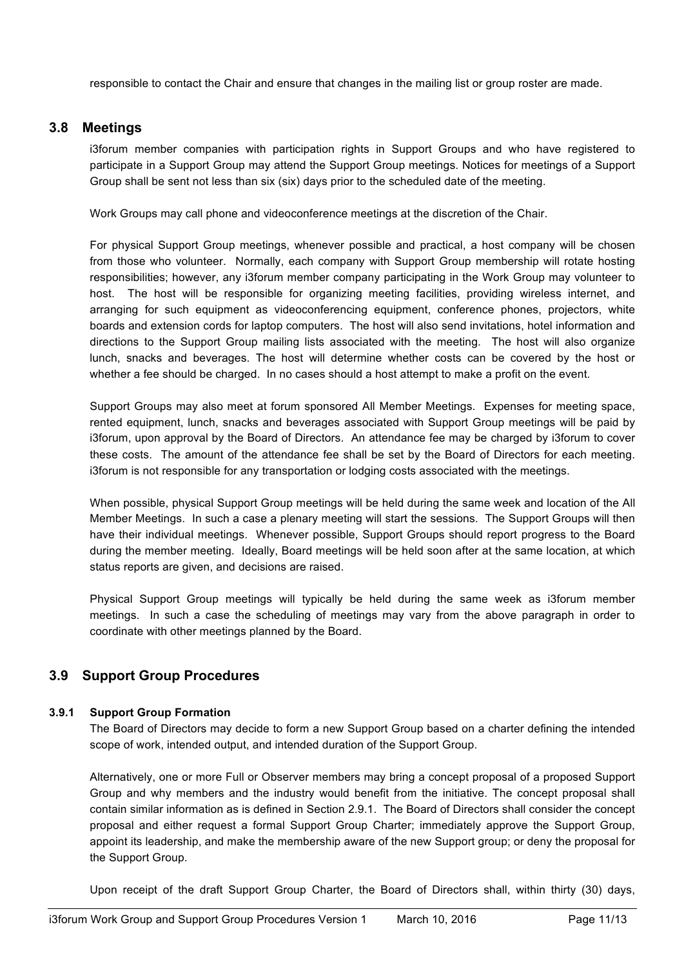responsible to contact the Chair and ensure that changes in the mailing list or group roster are made.

### **3.8 Meetings**

i3forum member companies with participation rights in Support Groups and who have registered to participate in a Support Group may attend the Support Group meetings. Notices for meetings of a Support Group shall be sent not less than six (six) days prior to the scheduled date of the meeting.

Work Groups may call phone and videoconference meetings at the discretion of the Chair.

For physical Support Group meetings, whenever possible and practical, a host company will be chosen from those who volunteer. Normally, each company with Support Group membership will rotate hosting responsibilities; however, any i3forum member company participating in the Work Group may volunteer to host. The host will be responsible for organizing meeting facilities, providing wireless internet, and arranging for such equipment as videoconferencing equipment, conference phones, projectors, white boards and extension cords for laptop computers. The host will also send invitations, hotel information and directions to the Support Group mailing lists associated with the meeting. The host will also organize lunch, snacks and beverages. The host will determine whether costs can be covered by the host or whether a fee should be charged. In no cases should a host attempt to make a profit on the event.

Support Groups may also meet at forum sponsored All Member Meetings. Expenses for meeting space, rented equipment, lunch, snacks and beverages associated with Support Group meetings will be paid by i3forum, upon approval by the Board of Directors. An attendance fee may be charged by i3forum to cover these costs. The amount of the attendance fee shall be set by the Board of Directors for each meeting. i3forum is not responsible for any transportation or lodging costs associated with the meetings.

When possible, physical Support Group meetings will be held during the same week and location of the All Member Meetings. In such a case a plenary meeting will start the sessions. The Support Groups will then have their individual meetings. Whenever possible, Support Groups should report progress to the Board during the member meeting. Ideally, Board meetings will be held soon after at the same location, at which status reports are given, and decisions are raised.

Physical Support Group meetings will typically be held during the same week as i3forum member meetings. In such a case the scheduling of meetings may vary from the above paragraph in order to coordinate with other meetings planned by the Board.

## **3.9 Support Group Procedures**

#### **3.9.1 Support Group Formation**

The Board of Directors may decide to form a new Support Group based on a charter defining the intended scope of work, intended output, and intended duration of the Support Group.

Alternatively, one or more Full or Observer members may bring a concept proposal of a proposed Support Group and why members and the industry would benefit from the initiative. The concept proposal shall contain similar information as is defined in Section 2.9.1. The Board of Directors shall consider the concept proposal and either request a formal Support Group Charter; immediately approve the Support Group, appoint its leadership, and make the membership aware of the new Support group; or deny the proposal for the Support Group.

Upon receipt of the draft Support Group Charter, the Board of Directors shall, within thirty (30) days,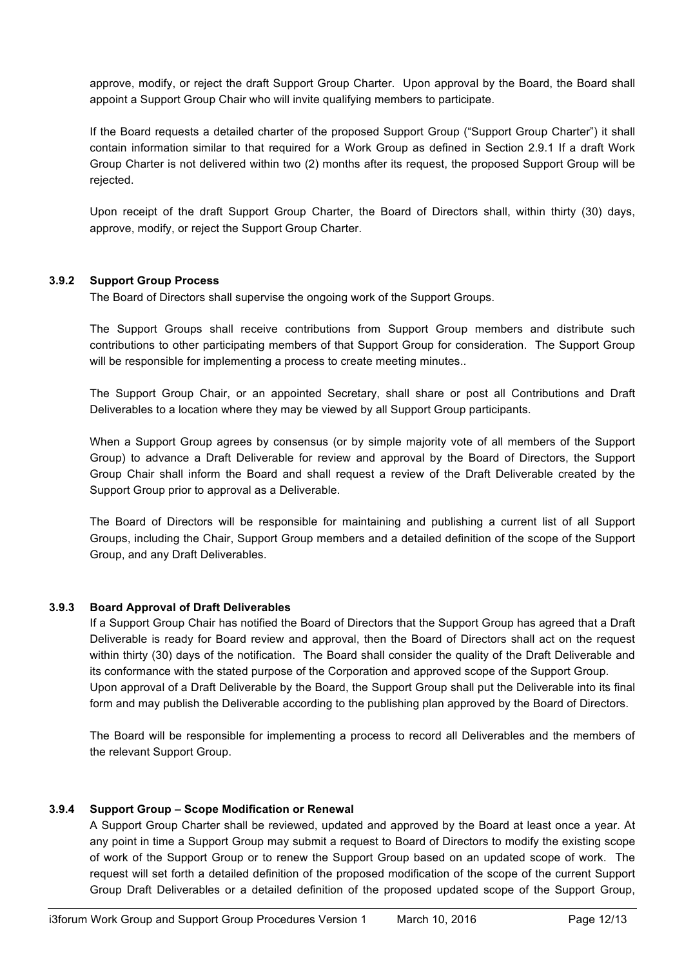approve, modify, or reject the draft Support Group Charter. Upon approval by the Board, the Board shall appoint a Support Group Chair who will invite qualifying members to participate.

If the Board requests a detailed charter of the proposed Support Group ("Support Group Charter") it shall contain information similar to that required for a Work Group as defined in Section 2.9.1 If a draft Work Group Charter is not delivered within two (2) months after its request, the proposed Support Group will be rejected.

Upon receipt of the draft Support Group Charter, the Board of Directors shall, within thirty (30) days, approve, modify, or reject the Support Group Charter.

#### **3.9.2 Support Group Process**

The Board of Directors shall supervise the ongoing work of the Support Groups.

The Support Groups shall receive contributions from Support Group members and distribute such contributions to other participating members of that Support Group for consideration. The Support Group will be responsible for implementing a process to create meeting minutes..

The Support Group Chair, or an appointed Secretary, shall share or post all Contributions and Draft Deliverables to a location where they may be viewed by all Support Group participants.

When a Support Group agrees by consensus (or by simple majority vote of all members of the Support Group) to advance a Draft Deliverable for review and approval by the Board of Directors, the Support Group Chair shall inform the Board and shall request a review of the Draft Deliverable created by the Support Group prior to approval as a Deliverable.

The Board of Directors will be responsible for maintaining and publishing a current list of all Support Groups, including the Chair, Support Group members and a detailed definition of the scope of the Support Group, and any Draft Deliverables.

#### **3.9.3 Board Approval of Draft Deliverables**

If a Support Group Chair has notified the Board of Directors that the Support Group has agreed that a Draft Deliverable is ready for Board review and approval, then the Board of Directors shall act on the request within thirty (30) days of the notification. The Board shall consider the quality of the Draft Deliverable and its conformance with the stated purpose of the Corporation and approved scope of the Support Group. Upon approval of a Draft Deliverable by the Board, the Support Group shall put the Deliverable into its final form and may publish the Deliverable according to the publishing plan approved by the Board of Directors.

The Board will be responsible for implementing a process to record all Deliverables and the members of the relevant Support Group.

#### **3.9.4 Support Group – Scope Modification or Renewal**

A Support Group Charter shall be reviewed, updated and approved by the Board at least once a year. At any point in time a Support Group may submit a request to Board of Directors to modify the existing scope of work of the Support Group or to renew the Support Group based on an updated scope of work. The request will set forth a detailed definition of the proposed modification of the scope of the current Support Group Draft Deliverables or a detailed definition of the proposed updated scope of the Support Group,